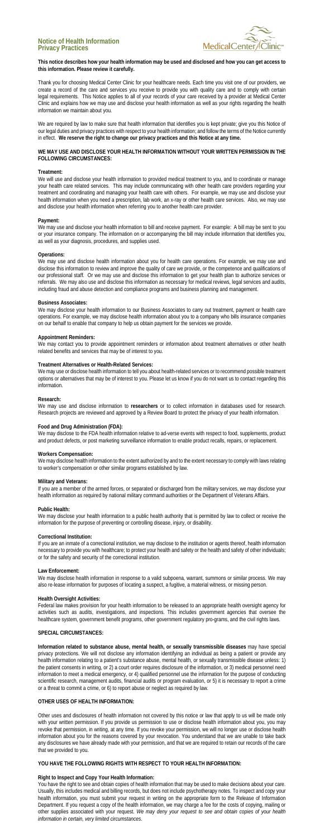# **Notice of Health Information Privacy Practices**



## **This notice describes how your health information may be used and disclosed and how you can get access to this information. Please review it carefully.**

Thank you for choosing Medical Center Clinic for your healthcare needs. Each time you visit one of our providers, we create a record of the care and services you receive to provide you with quality care and to comply with certain legal requirements. This Notice applies to all of your records of your care received by a provider at Medical Center Clinic and explains how we may use and disclose your health information as well as your rights regarding the health information we maintain about you.

We are required by law to make sure that health information that identifies you is kept private; give you this Notice of our legal duties and privacy practices with respect to your health information; and follow the terms of the Notice currently in effect. **We reserve the right to change our privacy practices and this Notice at any time.**

## **WE MAY USE AND DISCLOSE YOUR HEALTH INFORMATION WITHOUT YOUR WRITTEN PERMISSION IN THE FOLLOWING CIRCUMSTANCES:**

### **Treatment:**

We will use and disclose your health information to provided medical treatment to you, and to coordinate or manage your health care related services. This may include communicating with other health care providers regarding your treatment and coordinating and managing your health care with others. For example, we may use and disclose your health information when you need a prescription, lab work, an x-ray or other health care services. Also, we may use and disclose your health information when referring you to another health care provider.

#### **Payment:**

We may use and disclose your health information to bill and receive payment. For example: A bill may be sent to you or your insurance company. The information on or accompanying the bill may include information that identifies you, as well as your diagnosis, procedures, and supplies used.

#### **Operations:**

We may disclose health information to the extent authorized by and to the extent necessary to comply with laws relating to worker's compensation or other similar programs established by law.

We may use and disclose health information about you for health care operations. For example, we may use and disclose this information to review and improve the quality of care we provide, or the competence and qualifications of our professional staff. Or we may use and disclose this information to get your health plan to authorize services or referrals. We may also use and disclose this information as necessary for medical reviews, legal services and audits, including fraud and abuse detection and compliance programs and business planning and management.

We may disclose your health information to a public health authority that is permitted by law to collect or receive the information for the purpose of preventing or controlling disease, injury, or disability.

#### **Business Associates:**

We may disclose your health information to our Business Associates to carry out treatment, payment or health care operations. For example, we may disclose health information about you to a company who bills insurance companies on our behalf to enable that company to help us obtain payment for the services we provide.

#### **Appointment Reminders:**

We may contact you to provide appointment reminders or information about treatment alternatives or other health related benefits and services that may be of interest to you.

## **Treatment Alternatives or Health-Related Services:**

We may use or disclose health information to tell you about health-related services or to recommend possible treatment options or alternatives that may be of interest to you. Please let us know if you do not want us to contact regarding this information.

#### **Research:**

We may use and disclose information to **researchers** or to collect information in databases used for research. Research projects are reviewed and approved by a Review Board to protect the privacy of your health information.

## **Food and Drug Administration (FDA):**

We may disclose to the FDA health information relative to ad-verse events with respect to food, supplements, product and product defects, or post marketing surveillance information to enable product recalls, repairs, or replacement.

#### **Workers Compensation:**

### **Military and Veterans:**

If you are a member of the armed forces, or separated or discharged from the military services, we may disclose your health information as required by national military command authorities or the Department of Veterans Affairs.

# **Public Health:**

## **Correctional Institution:**

If you are an inmate of a correctional institution, we may disclose to the institution or agents thereof, health information necessary to provide you with healthcare; to protect your health and safety or the health and safety of other individuals; or for the safety and security of the correctional institution.

## **Law Enforcement:**

We may disclose health information in response to a valid subpoena, warrant, summons or similar process. We may also re-lease information for purposes of locating a suspect, a fugitive, a material witness, or missing person.

## **Health Oversight Activities:**

Federal law makes provision for your health information to be released to an appropriate health oversight agency for activities such as audits, investigations, and inspections. This includes government agencies that oversee the healthcare system, government benefit programs, other government regulatory pro-grams, and the civil rights laws.

## **SPECIAL CIRCUMSTANCES:**

**Information related to substance abuse, mental health, or sexually transmissible diseases** may have special privacy protections. We will not disclose any information identifying an individual as being a patient or provide any health information relating to a patient's substance abuse, mental health, or sexually transmissible disease unless: 1) the patient consents in writing, or 2) a court order requires disclosure of the information, or 3) medical personnel need information to meet a medical emergency, or 4) qualified personnel use the information for the purpose of conducting scientific research, management audits, financial audits or program evaluation, or 5) it is necessary to report a crime or a threat to commit a crime, or 6) to report abuse or neglect as required by law.

## **OTHER USES OF HEALTH INFORMATION:**

Other uses and disclosures of health information not covered by this notice or law that apply to us will be made only with your written permission. If you provide us permission to use or disclose health information about you, you may revoke that permission, in writing, at any time. If you revoke your permission, we will no longer use or disclose health information about you for the reasons covered by your revocation. You understand that we are unable to take back any disclosures we have already made with your permission, and that we are required to retain our records of the care that we provided to you.

## **YOU HAVE THE FOLLOWING RIGHTS WITH RESPECT TO YOUR HEALTH INFORMATION:**

## **Right to Inspect and Copy Your Health Information:**

You have the right to see and obtain copies of health information that may be used to make decisions about your care. Usually, this includes medical and billing records, but does not include psychotherapy notes. To inspect and copy your health information, you must submit your request in writing on the appropriate form to the Release of Information Department. If you request a copy of the health information, we may charge a fee for the costs of copying, mailing or other supplies associated with your request. *We may deny your request to see and obtain copies of your health information in certain, very limited circumstances*.